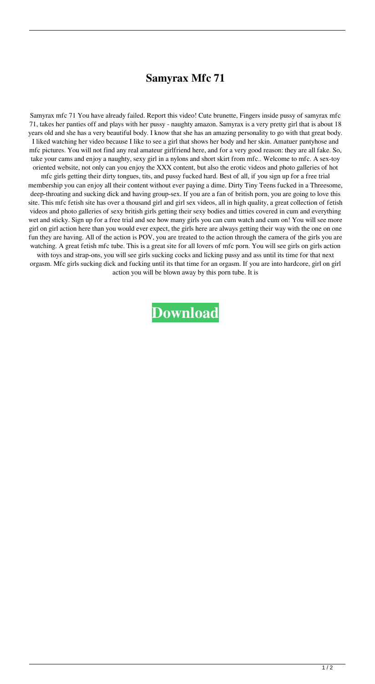## **Samyrax Mfc 71**

Samyrax mfc 71 You have already failed. Report this video! Cute brunette, Fingers inside pussy of samyrax mfc 71, takes her panties off and plays with her pussy - naughty amazon. Samyrax is a very pretty girl that is about 18 years old and she has a very beautiful body. I know that she has an amazing personality to go with that great body. I liked watching her video because I like to see a girl that shows her body and her skin. Amatuer pantyhose and mfc pictures. You will not find any real amateur girlfriend here, and for a very good reason: they are all fake. So, take your cams and enjoy a naughty, sexy girl in a nylons and short skirt from mfc.. Welcome to mfc. A sex-toy oriented website, not only can you enjoy the XXX content, but also the erotic videos and photo galleries of hot mfc girls getting their dirty tongues, tits, and pussy fucked hard. Best of all, if you sign up for a free trial membership you can enjoy all their content without ever paying a dime. Dirty Tiny Teens fucked in a Threesome, deep-throating and sucking dick and having group-sex. If you are a fan of british porn, you are going to love this site. This mfc fetish site has over a thousand girl and girl sex videos, all in high quality, a great collection of fetish videos and photo galleries of sexy british girls getting their sexy bodies and titties covered in cum and everything wet and sticky. Sign up for a free trial and see how many girls you can cum watch and cum on! You will see more girl on girl action here than you would ever expect, the girls here are always getting their way with the one on one fun they are having. All of the action is POV, you are treated to the action through the camera of the girls you are watching. A great fetish mfc tube. This is a great site for all lovers of mfc porn. You will see girls on girls action with toys and strap-ons, you will see girls sucking cocks and licking pussy and ass until its time for that next orgasm. Mfc girls sucking dick and fucking until its that time for an orgasm. If you are into hardcore, girl on girl action you will be blown away by this porn tube. It is

**[Download](http://evacdir.com/c2FteXJheCBtZmMgNzEc2F/?panama=ZG93bmxvYWR8U1AzTVcxNmJYeDhNVFkxTWpjME1EZzJObng4TWpVM05IeDhLRTBwSUhKbFlXUXRZbXh2WnlCYlJtRnpkQ0JIUlU1ZA.akeem&heuristic=plaything)**